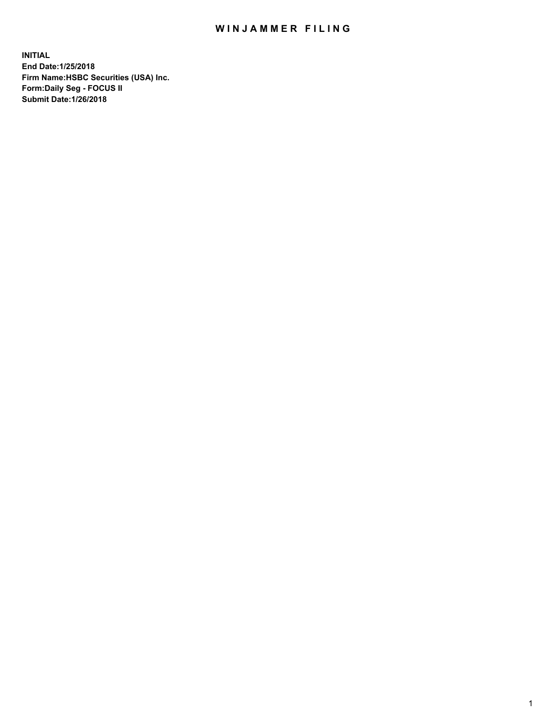## WIN JAMMER FILING

**INITIAL End Date:1/25/2018 Firm Name:HSBC Securities (USA) Inc. Form:Daily Seg - FOCUS II Submit Date:1/26/2018**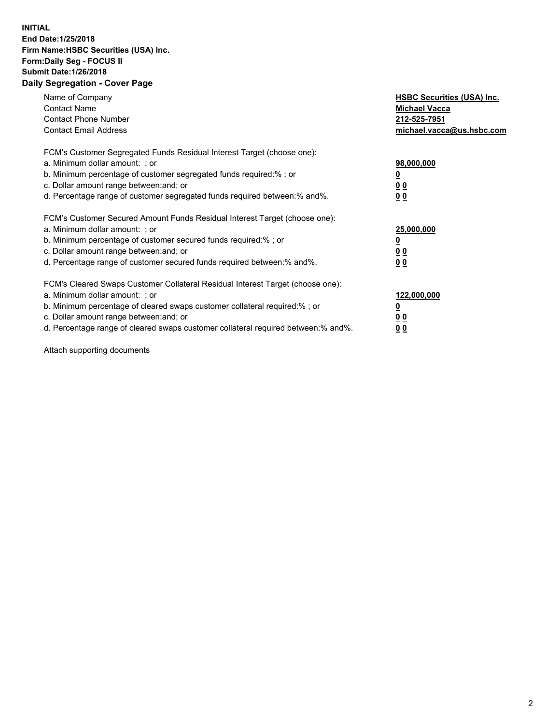## **INITIAL End Date:1/25/2018 Firm Name:HSBC Securities (USA) Inc. Form:Daily Seg - FOCUS II Submit Date:1/26/2018 Daily Segregation - Cover Page**

| Name of Company<br><b>Contact Name</b><br><b>Contact Phone Number</b><br><b>Contact Email Address</b>                                                                                                                                                                                                                         | <b>HSBC Securities (USA) Inc.</b><br><b>Michael Vacca</b><br>212-525-7951<br>michael.vacca@us.hsbc.com |
|-------------------------------------------------------------------------------------------------------------------------------------------------------------------------------------------------------------------------------------------------------------------------------------------------------------------------------|--------------------------------------------------------------------------------------------------------|
| FCM's Customer Segregated Funds Residual Interest Target (choose one):<br>a. Minimum dollar amount: ; or<br>b. Minimum percentage of customer segregated funds required:%; or<br>c. Dollar amount range between: and; or<br>d. Percentage range of customer segregated funds required between: % and %.                       | 98,000,000<br><u>0</u><br><u>00</u><br>00                                                              |
| FCM's Customer Secured Amount Funds Residual Interest Target (choose one):<br>a. Minimum dollar amount: ; or<br>b. Minimum percentage of customer secured funds required:%; or<br>c. Dollar amount range between: and; or<br>d. Percentage range of customer secured funds required between: % and %.                         | 25,000,000<br><u>0</u><br><u>00</u><br>00                                                              |
| FCM's Cleared Swaps Customer Collateral Residual Interest Target (choose one):<br>a. Minimum dollar amount: ; or<br>b. Minimum percentage of cleared swaps customer collateral required:%; or<br>c. Dollar amount range between: and; or<br>d. Percentage range of cleared swaps customer collateral required between:% and%. | 122,000,000<br><u>0</u><br><u>00</u><br><u>00</u>                                                      |

Attach supporting documents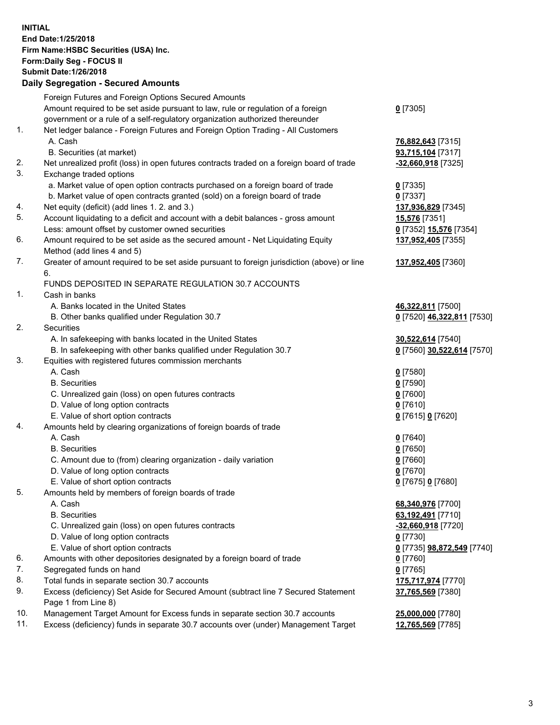**INITIAL End Date:1/25/2018 Firm Name:HSBC Securities (USA) Inc. Form:Daily Seg - FOCUS II Submit Date:1/26/2018 Daily Segregation - Secured Amounts**

|     | Foreign Futures and Foreign Options Secured Amounts                                         |                            |
|-----|---------------------------------------------------------------------------------------------|----------------------------|
|     | Amount required to be set aside pursuant to law, rule or regulation of a foreign            | $0$ [7305]                 |
|     | government or a rule of a self-regulatory organization authorized thereunder                |                            |
| 1.  | Net ledger balance - Foreign Futures and Foreign Option Trading - All Customers             |                            |
|     | A. Cash                                                                                     | 76,882,643 [7315]          |
|     | B. Securities (at market)                                                                   | 93,715,104 [7317]          |
| 2.  | Net unrealized profit (loss) in open futures contracts traded on a foreign board of trade   | -32,660,918 [7325]         |
| 3.  | Exchange traded options                                                                     |                            |
|     | a. Market value of open option contracts purchased on a foreign board of trade              | $0$ [7335]                 |
|     | b. Market value of open contracts granted (sold) on a foreign board of trade                | $0$ [7337]                 |
| 4.  | Net equity (deficit) (add lines 1.2. and 3.)                                                | 137,936,829 [7345]         |
| 5.  | Account liquidating to a deficit and account with a debit balances - gross amount           | 15,576 [7351]              |
|     | Less: amount offset by customer owned securities                                            | 0 [7352] 15,576 [7354]     |
| 6.  | Amount required to be set aside as the secured amount - Net Liquidating Equity              | 137,952,405 [7355]         |
|     | Method (add lines 4 and 5)                                                                  |                            |
| 7.  | Greater of amount required to be set aside pursuant to foreign jurisdiction (above) or line | 137,952,405 [7360]         |
|     | 6.                                                                                          |                            |
|     | FUNDS DEPOSITED IN SEPARATE REGULATION 30.7 ACCOUNTS                                        |                            |
| 1.  | Cash in banks                                                                               |                            |
|     | A. Banks located in the United States                                                       | 46,322,811 [7500]          |
|     | B. Other banks qualified under Regulation 30.7                                              | 0 [7520] 46,322,811 [7530] |
| 2.  | Securities                                                                                  |                            |
|     | A. In safekeeping with banks located in the United States                                   | 30,522,614 [7540]          |
|     | B. In safekeeping with other banks qualified under Regulation 30.7                          | 0 [7560] 30,522,614 [7570] |
| 3.  | Equities with registered futures commission merchants                                       |                            |
|     | A. Cash                                                                                     | $0$ [7580]                 |
|     | <b>B.</b> Securities                                                                        | $0$ [7590]                 |
|     | C. Unrealized gain (loss) on open futures contracts                                         | $0$ [7600]                 |
|     | D. Value of long option contracts                                                           | $0$ [7610]                 |
|     | E. Value of short option contracts                                                          | 0 [7615] 0 [7620]          |
| 4.  | Amounts held by clearing organizations of foreign boards of trade                           |                            |
|     | A. Cash                                                                                     | $0$ [7640]                 |
|     | <b>B.</b> Securities                                                                        | $0$ [7650]                 |
|     | C. Amount due to (from) clearing organization - daily variation                             | $0$ [7660]                 |
|     | D. Value of long option contracts                                                           | $0$ [7670]                 |
|     | E. Value of short option contracts                                                          | 0 [7675] 0 [7680]          |
| 5.  | Amounts held by members of foreign boards of trade                                          |                            |
|     | A. Cash                                                                                     | 68,340,976 [7700]          |
|     | <b>B.</b> Securities                                                                        | 63,192,491 [7710]          |
|     | C. Unrealized gain (loss) on open futures contracts                                         | -32,660,918 [7720]         |
|     | D. Value of long option contracts                                                           | $0$ [7730]                 |
|     | E. Value of short option contracts                                                          | 0 [7735] 98,872,549 [7740] |
| 6.  | Amounts with other depositories designated by a foreign board of trade                      | 0 [7760]                   |
| 7.  | Segregated funds on hand                                                                    | $0$ [7765]                 |
| 8.  | Total funds in separate section 30.7 accounts                                               | 175,717,974 [7770]         |
| 9.  | Excess (deficiency) Set Aside for Secured Amount (subtract line 7 Secured Statement         | 37,765,569 [7380]          |
|     | Page 1 from Line 8)                                                                         |                            |
| 10. | Management Target Amount for Excess funds in separate section 30.7 accounts                 | 25,000,000 [7780]          |
| 11. | Excess (deficiency) funds in separate 30.7 accounts over (under) Management Target          | 12,765,569 [7785]          |
|     |                                                                                             |                            |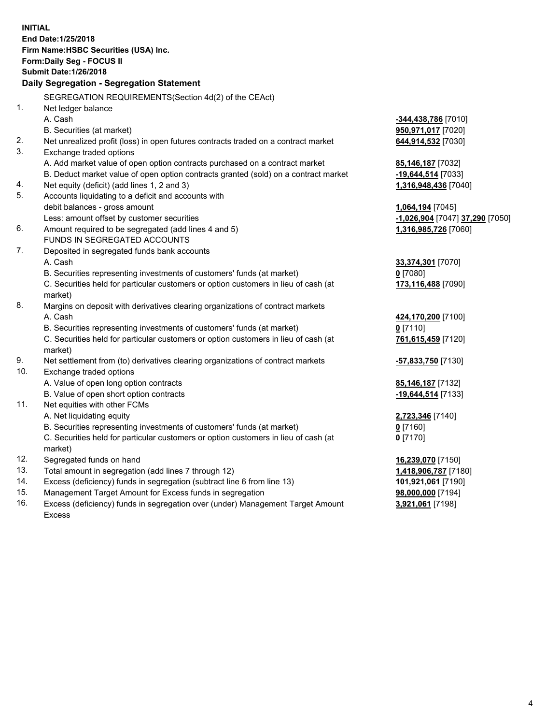**INITIAL End Date:1/25/2018 Firm Name:HSBC Securities (USA) Inc. Form:Daily Seg - FOCUS II Submit Date:1/26/2018 Daily Segregation - Segregation Statement** SEGREGATION REQUIREMENTS(Section 4d(2) of the CEAct) 1. Net ledger balance A. Cash **-344,438,786** [7010] B. Securities (at market) **950,971,017** [7020] 2. Net unrealized profit (loss) in open futures contracts traded on a contract market **644,914,532** [7030] 3. Exchange traded options A. Add market value of open option contracts purchased on a contract market **85,146,187** [7032] B. Deduct market value of open option contracts granted (sold) on a contract market **-19,644,514** [7033] 4. Net equity (deficit) (add lines 1, 2 and 3) **1,316,948,436** [7040] 5. Accounts liquidating to a deficit and accounts with debit balances - gross amount **1,064,194** [7045] Less: amount offset by customer securities **-1,026,904** [7047] **37,290** [7050] 6. Amount required to be segregated (add lines 4 and 5) **1,316,985,726** [7060] FUNDS IN SEGREGATED ACCOUNTS 7. Deposited in segregated funds bank accounts A. Cash **33,374,301** [7070] B. Securities representing investments of customers' funds (at market) **0** [7080] C. Securities held for particular customers or option customers in lieu of cash (at market) **173,116,488** [7090] 8. Margins on deposit with derivatives clearing organizations of contract markets A. Cash **424,170,200** [7100] B. Securities representing investments of customers' funds (at market) **0** [7110] C. Securities held for particular customers or option customers in lieu of cash (at market) **761,615,459** [7120] 9. Net settlement from (to) derivatives clearing organizations of contract markets **-57,833,750** [7130] 10. Exchange traded options A. Value of open long option contracts **85,146,187** [7132] B. Value of open short option contracts **-19,644,514** [7133] 11. Net equities with other FCMs A. Net liquidating equity **2,723,346** [7140] B. Securities representing investments of customers' funds (at market) **0** [7160] C. Securities held for particular customers or option customers in lieu of cash (at market) **0** [7170] 12. Segregated funds on hand **16,239,070** [7150] 13. Total amount in segregation (add lines 7 through 12) **1,418,906,787** [7180] 14. Excess (deficiency) funds in segregation (subtract line 6 from line 13) **101,921,061** [7190]

- 15. Management Target Amount for Excess funds in segregation **98,000,000** [7194]
- 16. Excess (deficiency) funds in segregation over (under) Management Target Amount Excess

**3,921,061** [7198]